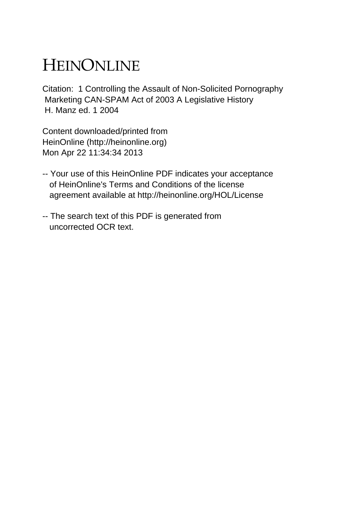# HEINONLINE

Citation: 1 Controlling the Assault of Non-Solicited Pornography Marketing CAN-SPAM Act of 2003 A Legislative History H. Manz ed. 1 2004

Content downloaded/printed from HeinOnline (http://heinonline.org) Mon Apr 22 11:34:34 2013

- -- Your use of this HeinOnline PDF indicates your acceptance of HeinOnline's Terms and Conditions of the license agreement available at http://heinonline.org/HOL/License
- -- The search text of this PDF is generated from uncorrected OCR text.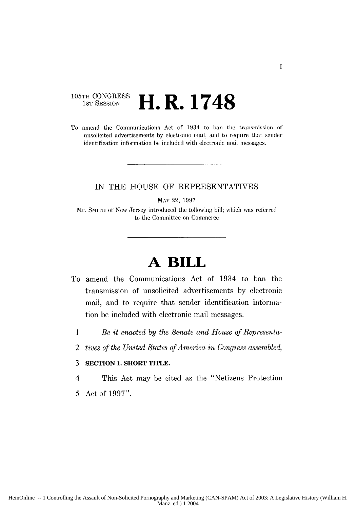### 105TH CONGRESS<br>1st Session **H.R. 1748**

To amend the Communications Act of 1934 to ban the transission of unsolicited advertisements by electronic mail, and to require that sender identification information be included with electronic mail messages.

### IN THE **HOUSE** OF REPRESENTATIVES

**MAY** 22, 1997

Mi. SMITH of New Jersey introduced the following bill; which was referred to the Committee on Commerce

## **A BILL**

- To amend the Communications Act of 1934 to ban the transmission of unsolicited advertisements by electronic mail, and to require that sender identification information be included with electronic mail messages.
	- *1 Be it enacted by the Senate and House of Representa-*
	- *2 tives of the United States of America in Congress assembled,*

#### **3 SECTION 1. SHORT TITLE.**

- 4 This Act may be cited as the "Netizens Protection
- *5* Act of 1997".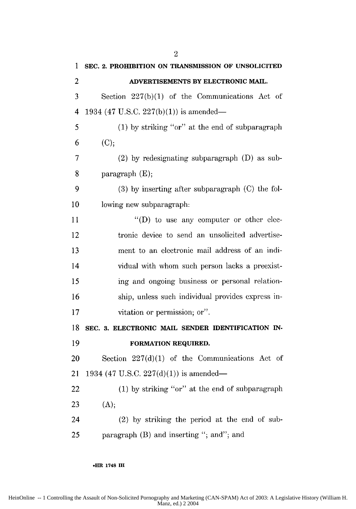| 1              | SEC. 2. PROHIBITION ON TRANSMISSION OF UNSOLICITED   |
|----------------|------------------------------------------------------|
| $\overline{2}$ | ADVERTISEMENTS BY ELECTRONIC MAIL.                   |
| 3              | Section $227(b)(1)$ of the Communications Act of     |
| 4              | 1934 (47 U.S.C. 227(b)(1)) is amended—               |
| 5              | $(1)$ by striking "or" at the end of subparagraph    |
| 6              | (C);                                                 |
| 7              | $(2)$ by redesignating subparagraph $(D)$ as sub-    |
| 8              | paragraph $(E)$ ;                                    |
| 9              | $(3)$ by inserting after subparagraph $(C)$ the fol- |
| 10             | lowing new subparagraph.                             |
| 11             | $\lq\lq$ to use any computer or other elec-          |
| 12             | tronic device to send an unsolicited advertise-      |
| 13             | ment to an electronic mail address of an indi-       |
| 14             | vidual with whom such person lacks a preexist-       |
| 15             | ing and ongoing business or personal relation-       |
| 16             | ship, unless such individual provides express in-    |
| 17             | vitation or permission; or".                         |
| 18             | SEC. 3. ELECTRONIC MAIL SENDER IDENTIFICATION IN-    |
| 19             | FORMATION REQUIRED.                                  |
| 20             | Section $227(d)(1)$ of the Communications Act of     |
| 21             | 1934 (47 U.S.C. 227(d)(1)) is amended—               |
| 22             | (1) by striking "or" at the end of subparagraph      |
| 23             | (A);                                                 |
| 24             | (2) by striking the period at the end of sub-        |
| 25             | paragraph (B) and inserting "; and"; and             |

2

**HR 1748 IH**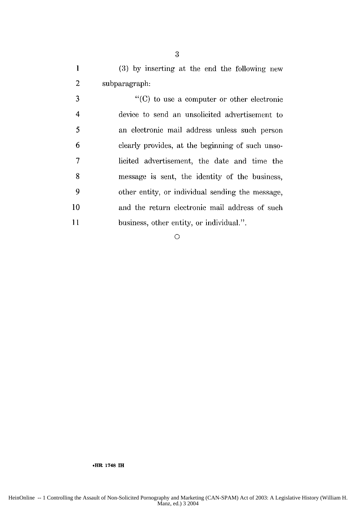1 (3) by inserting at the end the following new 2 subparagraph:

3 "(C) to use a computer or other electronic 4 device to send an unsolicited advertisement to 5 an electronic mail address unless such person 6 clearly provides, at the beginning of such unso-7 licited advertisement, the date and time the 8 message is sent, the identity of the business, 9 other entity, or individual sending the message, 10 and the return electronic mail address of such 11 business, other entity, or individual.".

 $\bigcirc$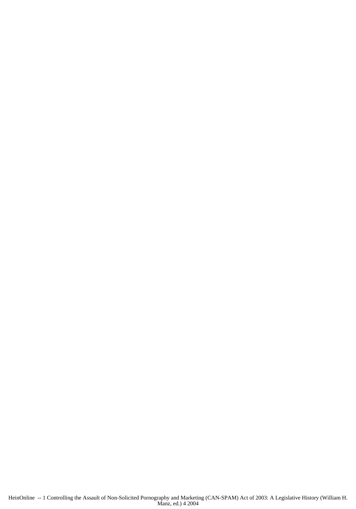HeinOnline -- 1 Controlling the Assault of Non-Solicited Pornography and Marketing (CAN-SPAM) Act of 2003: A Legislative History (William H. Manz, ed.) 4 2004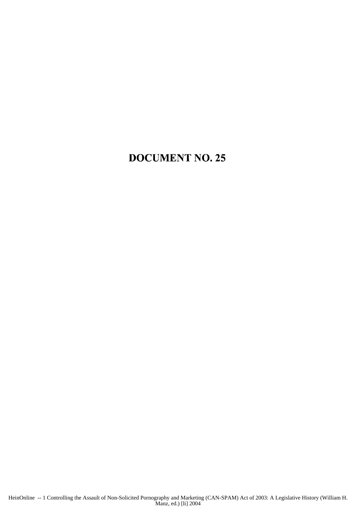### **DOCUMENT NO. 25**